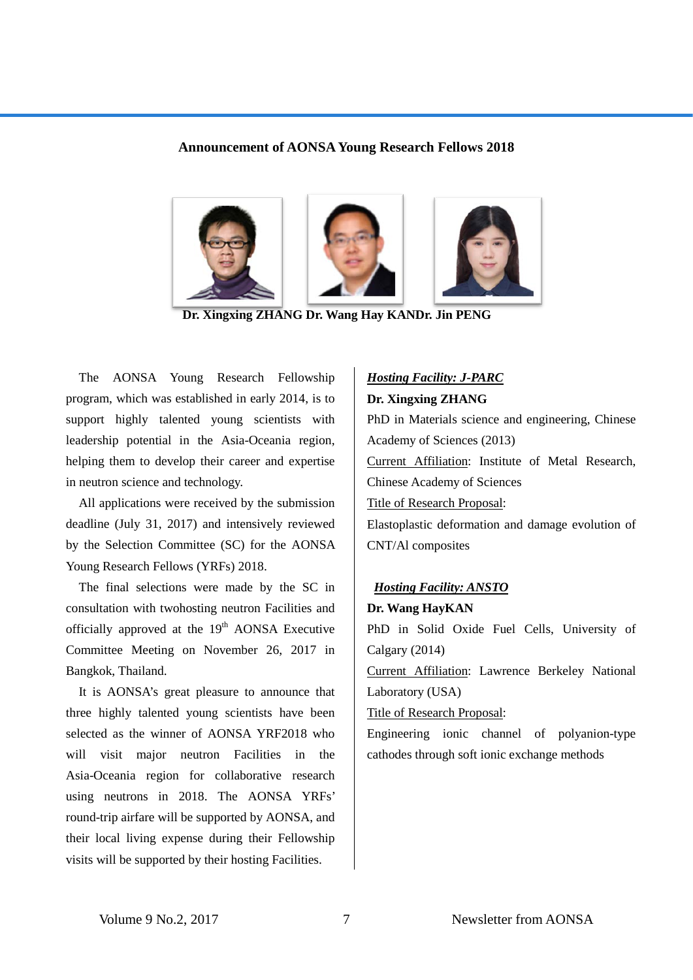## **Announcement of AONSA Young Research Fellows 2018**



**Dr. Xingxing ZHANG Dr. Wang Hay KANDr. Jin PENG**

The AONSA Young Research Fellowship program, which was established in early 2014, is to support highly talented young scientists with leadership potential in the Asia-Oceania region, helping them to develop their career and expertise in neutron science and technology.

All applications were received by the submission deadline (July 31, 2017) and intensively reviewed by the Selection Committee (SC) for the AONSA Young Research Fellows (YRFs) 2018.

The final selections were made by the SC in consultation with twohosting neutron Facilities and officially approved at the 19<sup>th</sup> AONSA Executive Committee Meeting on November 26, 2017 in Bangkok, Thailand.

It is AONSA's great pleasure to announce that three highly talented young scientists have been selected as the winner of AONSA YRF2018 who will visit major neutron Facilities in the Asia-Oceania region for collaborative research using neutrons in 2018. The AONSA YRFs' round-trip airfare will be supported by AONSA, and their local living expense during their Fellowship visits will be supported by their hosting Facilities.

## *Hosting Facility: J-PARC* **Dr. Xingxing ZHANG** PhD in Materials science and engineering, Chinese Academy of Sciences (2013)

Current Affiliation: Institute of Metal Research, Chinese Academy of Sciences Title of Research Proposal: Elastoplastic deformation and damage evolution of

CNT/Al composites

## *Hosting Facility: ANSTO* **Dr. Wang HayKAN**

PhD in Solid Oxide Fuel Cells, University of Calgary (2014) Current Affiliation: Lawrence Berkeley National Laboratory (USA)

Title of Research Proposal:

Engineering ionic channel of polyanion-type cathodes through soft ionic exchange methods